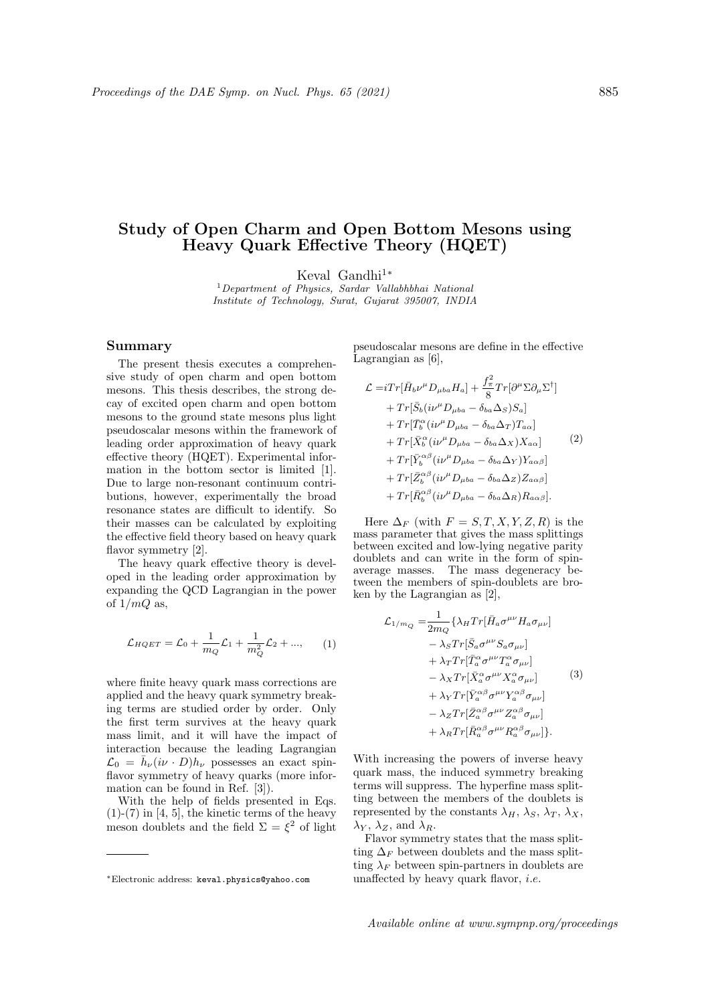## Study of Open Charm and Open Bottom Mesons using Heavy Quark Effective Theory (HQET)

Keval Gandhi<sup>1</sup>\*

<sup>1</sup>Department of Physics, Sardar Vallabhbhai National Institute of Technology, Surat, Gujarat 395007, INDIA

## Summary

The present thesis executes a comprehensive study of open charm and open bottom mesons. This thesis describes, the strong decay of excited open charm and open bottom mesons to the ground state mesons plus light pseudoscalar mesons within the framework of leading order approximation of heavy quark effective theory (HQET). Experimental information in the bottom sector is limited [1]. Due to large non-resonant continuum contributions, however, experimentally the broad resonance states are difficult to identify. So their masses can be calculated by exploiting the effective field theory based on heavy quark flavor symmetry [2].

The heavy quark effective theory is developed in the leading order approximation by expanding the QCD Lagrangian in the power of  $1/mQ$  as,

$$
\mathcal{L}_{HQET} = \mathcal{L}_0 + \frac{1}{m_Q} \mathcal{L}_1 + \frac{1}{m_Q^2} \mathcal{L}_2 + ..., \qquad (1)
$$

where finite heavy quark mass corrections are applied and the heavy quark symmetry breaking terms are studied order by order. Only the first term survives at the heavy quark mass limit, and it will have the impact of interaction because the leading Lagrangian  $\mathcal{L}_0 = \bar{h}_{\nu} (i\nu \cdot D) h_{\nu}$  possesses an exact spinflavor symmetry of heavy quarks (more information can be found in Ref. [3]).

With the help of fields presented in Eqs.  $(1)-(7)$  in  $[4, 5]$ , the kinetic terms of the heavy meson doublets and the field  $\Sigma = \xi^2$  of light

pseudoscalar mesons are define in the effective Lagrangian as [6],

$$
\mathcal{L} = iTr[\bar{H}_{b}\nu^{\mu}D_{\mu ba}H_{a}] + \frac{f_{\pi}^{2}}{8}Tr[\partial^{\mu}\Sigma\partial_{\mu}\Sigma^{\dagger}] \n+ Tr[\bar{S}_{b}(i\nu^{\mu}D_{\mu ba} - \delta_{ba}\Delta_{S})S_{a}] \n+ Tr[\bar{T}_{b}^{\alpha}(i\nu^{\mu}D_{\mu ba} - \delta_{ba}\Delta_{T})T_{a\alpha}] \n+ Tr[\bar{X}_{b}^{\alpha}(i\nu^{\mu}D_{\mu ba} - \delta_{ba}\Delta_{X})X_{a\alpha}] \n+ Tr[\bar{Y}_{b}^{\alpha\beta}(i\nu^{\mu}D_{\mu ba} - \delta_{ba}\Delta_{Y})Y_{a\alpha\beta}] \n+ Tr[\bar{Z}_{b}^{\alpha\beta}(i\nu^{\mu}D_{\mu ba} - \delta_{ba}\Delta_{Z})Z_{a\alpha\beta}] \n+ Tr[\bar{R}_{b}^{\alpha\beta}(i\nu^{\mu}D_{\mu ba} - \delta_{ba}\Delta_{R})R_{a\alpha\beta}].
$$

Here  $\Delta_F$  (with  $F = S, T, X, Y, Z, R$ ) is the mass parameter that gives the mass splittings between excited and low-lying negative parity doublets and can write in the form of spinaverage masses. The mass degeneracy between the members of spin-doublets are broken by the Lagrangian as [2],

$$
\mathcal{L}_{1/m_Q} = \frac{1}{2m_Q} \{ \lambda_H Tr[\bar{H}_a \sigma^{\mu\nu} H_a \sigma_{\mu\nu}] \n- \lambda_S Tr[\bar{S}_a \sigma^{\mu\nu} S_a \sigma_{\mu\nu}] \n+ \lambda_T Tr[\bar{T}_a^{\alpha} \sigma^{\mu\nu} T_a^{\alpha} \sigma_{\mu\nu}] \n- \lambda_X Tr[\bar{X}_a^{\alpha} \sigma^{\mu\nu} X_a^{\alpha} \sigma_{\mu\nu}] \n+ \lambda_Y Tr[\bar{Y}_a^{\alpha\beta} \sigma^{\mu\nu} Y_a^{\alpha\beta} \sigma_{\mu\nu}] \n- \lambda_Z Tr[\bar{Z}_a^{\alpha\beta} \sigma^{\mu\nu} Z_a^{\alpha\beta} \sigma_{\mu\nu}] \n+ \lambda_R Tr[\bar{R}_a^{\alpha\beta} \sigma^{\mu\nu} R_a^{\alpha\beta} \sigma_{\mu\nu}]\}.
$$

With increasing the powers of inverse heavy quark mass, the induced symmetry breaking terms will suppress. The hyperfine mass splitting between the members of the doublets is represented by the constants  $\lambda_H$ ,  $\lambda_S$ ,  $\lambda_T$ ,  $\lambda_X$ ,  $\lambda_Y$ ,  $\lambda_Z$ , and  $\lambda_R$ .

Flavor symmetry states that the mass splitting  $\Delta_F$  between doublets and the mass splitting  $\lambda_F$  between spin-partners in doublets are unaffected by heavy quark flavor, *i.e.* 

<sup>∗</sup>Electronic address: keval.physics@yahoo.com